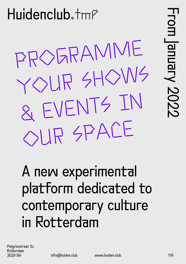PROGRAMME YOUR SHOWS & EVENTS IN OUR SPACE

### A new experimental platform dedicated to contemporary culture in Rotterdam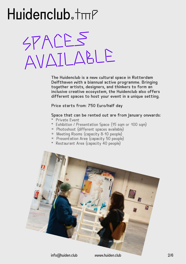#### $Huidenclub.*mP$

SPACES AVAILABLE

The Huidenclub is a new cultural space in Rotterdam Delfthaven with a biannual active programme. Bringing together artists, designers, and thinkers to form an inclusive creative ecosystem, the Huidenclub also offers different spaces to host your event in a unique setting.

Price starts from: 750 Euro/half day

#### Space that can be rented out are from January onwards:

- \* Private Event
- \* Exhibition / Presentation Space (15 sqm or 100 sqm)
- $*$  Photoshoot (different spaces available)
- $*$  Meeting Rooms (capacity 8-10 people)
- \* Presentation Area (capacity 50 people)
- \* Restaurant Area (capacity 40 people)

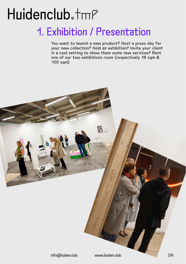#### 1. Exhibition / Presentation

You want to launch a new product? Host a press day for your new collection? Hold an exhibition? Invite your client in a cool setting to show them some new services? Rent one of our two exhibitions room (respectively 18 sqm & 100 sqm).

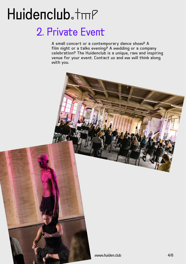#### 2. Private Event

A small concert or a contemporary dance show? A film night or a talks evening? A wedding or a company celebration? The Huidenclub is a unique, raw and inspiring venue for your event. Contact us and we will think along with you.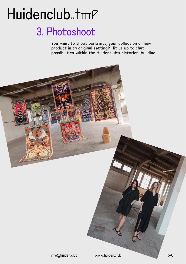#### 3. Photoshoot

You want to shoot portraits, your collection or new product in an original setting? Hit us up to chat possibilities within the Huidenclub's historical building.